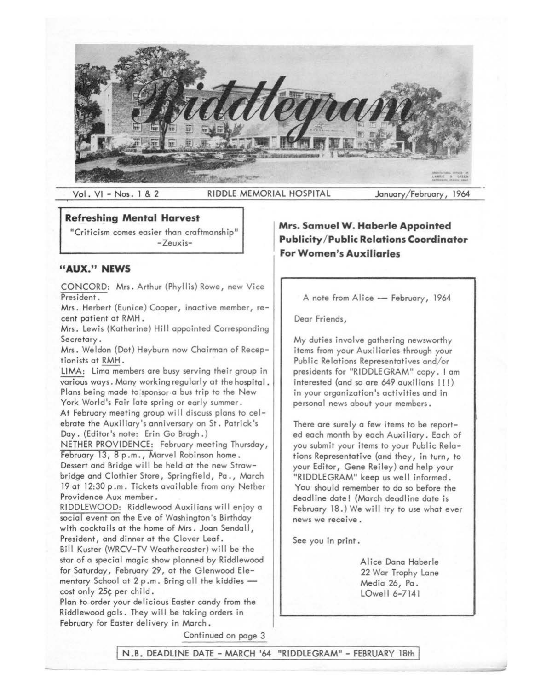

Vol. VI - Nos. 1 & 2 RIDDLE MEMORIAL HOSPITAL January/February, 1964

#### **Refreshing Mental Harvest**

"Criticism comes easier than craftmanship" -Zeuxis-

### <sup>11</sup>**AUX." NEWS**

CONCORD: Mrs. Arthur {Phyllis) Rowe, new Vice President.

Mrs. Herbert (Eunice) Cooper, inactive member, recent patient at RMH.

Mrs. Lewis {Katherine) Hill appointed Corresponding Secretary.

Mrs. Weldon (Dot) Heyburn now Chairman of Receptionists at RMH.

LIMA: Lima members are busy serving their group in various ways. Many working regularly at the hospital. Plans being made to sponsor a bus trip to the New York World's Fair fate spring or early summer. At February meeting group will discuss plans to celebrate the Auxiliary's anniversary on St. Patrick's Day. {Editor's note: Erin Go Bragh.)

NETHER PROVIDENCE: February meeting Thursday, February 13, 8 p.m., Marvel Robinson home. Dessert and Bridge will be held at the new Strawbridge and Clothier Store, Springfield, Pa., March 19 at 12:30 p .m. Tickets available from any Netber Providence Aux member.

RIDDLEWOOD: Riddlewood Auxilians will enjoy a social event on the Eve of Washington's Birthday with cocktails at the home of Mrs. Joan Sendall, President, and dinner at the Clover Leaf. Bill Kuster (WRCV-TV Weathercaster) will be the star of a special magic show planned by Riddlewood for Saturday, February 29, at the Glenwood Elementary School at  $2 p.m.$  Bring all the kiddies  $$ cost only 25¢ per child.

Plan to order your delicious Easter candy from the Riddlewood gals. They will be taking orders in February for Easter delivery in March.

**Mrs. Samuel W. Haberle Appointed Publidty /Public Relations Coordinator For Women's Auxiliaries** 

A note from Alice - February, 1964

Dear Friends,

My duties involve gathering newsworthy items from your Auxiliaries through your Public Relations Representatives and/or presidents for "RIDDLEGRAM" copy. I am interested (and so are 649 auxilians !!!) in your organization's activities and in personal news about your members.

There are surely a few items to be reported each month by each Auxiliary. Each of you submit your items to your Public Relations Representative {and they, in turn, to your Editor, Gene Reiley) and help your "RIDDLEGRAM" keep us well informed. You should remember to do so before the deadline date! (March deadline date is February 18.) We will try to use what ever news we receive.

See you in print.

Alice Dana Haberle 22 War Trophy Lane Media 26, Pa. LOwell 6-7141

Continued on page 3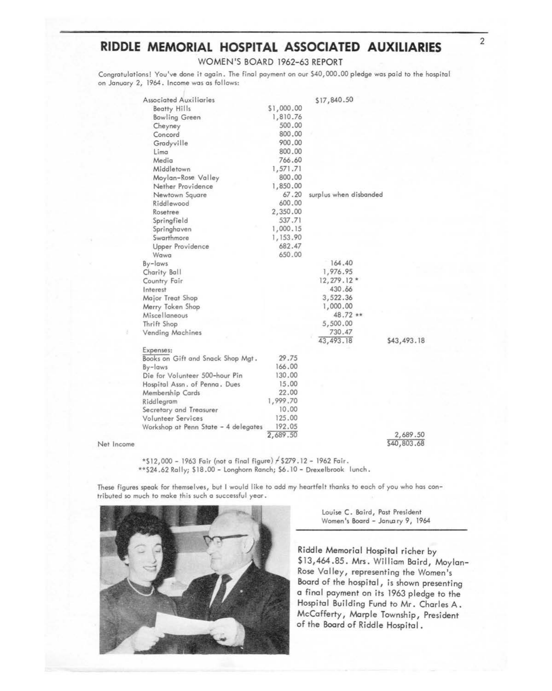# RIDDLE MEMORIAL HOSPITAL ASSOCIATED AUXILIARIES

WOMEN'S BOARD 1962-63 REPORT

Congratulations! You've done it again. The final payment on our \$40,000.00 pledge was paid to the hospital on January 2, 1964. Income was as follows:

| <b>Associated Auxiliaries</b>        |            | \$17,840.50            |             |
|--------------------------------------|------------|------------------------|-------------|
| <b>Beatty Hills</b>                  | \$1,000.00 |                        |             |
| <b>Bowling Green</b>                 | 1,810.76   |                        |             |
| Cheyney                              | 500.00     |                        |             |
| Concord                              | 800.00     |                        |             |
| Gradyville                           | 900.00     |                        |             |
| Lima                                 | 800.00     |                        |             |
| Media                                | 766.60     |                        |             |
| Middletown                           | 1,571.71   |                        |             |
| Moylan-Rose Valley                   | 800.00     |                        |             |
| Nether Providence                    | 1,850.00   |                        |             |
| Newtown Square                       | 67.20      | surplus when disbanded |             |
| Riddlewood                           | 600.00     |                        |             |
| Rosetree                             | 2,350.00   |                        |             |
| Springfield                          | 537.71     |                        |             |
| Springhaven                          | 1,000.15   |                        |             |
| Swarthmore                           | 1,153.90   |                        |             |
| Upper Providence                     | 682.47     |                        |             |
| Wawa.                                | 650.00     |                        |             |
| By-laws                              |            | 164,40                 |             |
| Charity Ball                         |            | 1,976.95               |             |
| Country Fair                         |            | $12, 279.12*$          |             |
| Interest                             |            | 430.66                 |             |
| Major Treat Shop                     |            | 3,522.36               |             |
| Merry Token Shop                     |            | 1,000.00               |             |
| Miscellaneous                        |            | 48.72 **               |             |
| Thrift Shop                          |            | 5,500.00               |             |
| Vending Machines                     |            | 730.47                 |             |
|                                      |            | 43, 493.18             | \$43,493.18 |
| Expenses:                            |            |                        |             |
| Books on Gift and Snack Shop Mgt.    | 29.75      |                        |             |
| By-laws                              | 166,00     |                        |             |
| Die for Volunteer 500-hour Pin       | 130.00     |                        |             |
| Hospital Assn. of Penna. Dues        | 15.00      |                        |             |
| Membership Cards                     | 22.00      |                        |             |
| Riddlegram                           | 1,999.70   |                        |             |
| Secretary and Treasurer              | 10.00      |                        |             |
| Volunteer Services                   | 125.00     |                        |             |
| Workshop at Penn State - 4 delegates | 192.05     |                        |             |
|                                      | 2,689.50   |                        | 2,689.50    |
|                                      |            |                        | \$40,803.68 |

Net Income

\*\$12,000 - 1963 Fair (not a final figure) / \$279.12 - 1962 Fair. \*\* \$24.62 Rally; \$18.00 - Longhorn Ranch; \$6.10 - Drexelbrook lunch.

These figures speak for themselves, but I would like to add my heartfelt thanks to each of you who has contributed so much to make this such a successful year.



Louise C. Baird, Past President Women's Board - January 9, 1964

Riddle Memorial Hospital richer by \$13,464.85. Mrs. William Baird, Moylan-Rose Valley, representing the Women's Board of the hospital, is shown presenting a final payment on its 1963 pledge to the Hospital Building Fund to Mr. Charles A. McCafferty, Marple Township, President of the Board of Riddle Hospital.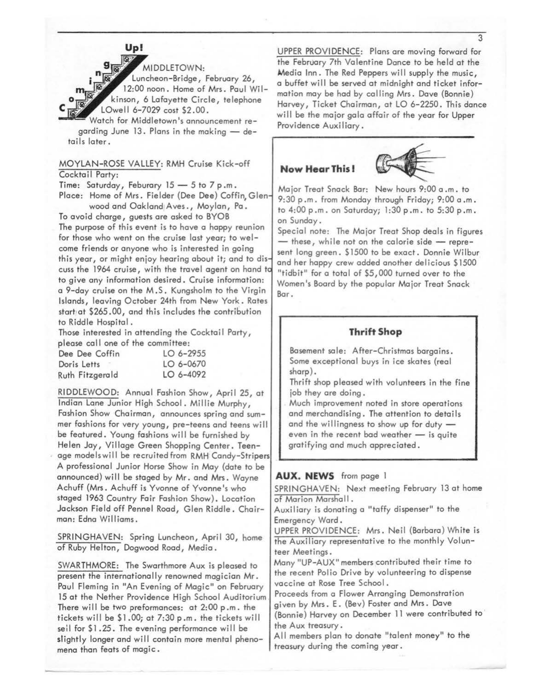

MIDDLETOWN: Luncheon-Bridge, February 26, 12:00 noon. Home of **Mrs.** Paul Wi 1 kinson, 6 Lafayette Circle, telephone LOwell 6-7029 cost \$2.00.

Watch for Middletown's announcement regarding June 13. Plans in the making - details later.

#### MOYLAN-ROSE VALLEY: RMH Cruise Kick-off Cocktail Party:

Time: Saturday, Feburary  $15 - 5$  to  $7$  p.m. Place: Home of Mrs. Fielder (Dee Dee) Coffin, Glen· wood and Oakland1Aves., Moylan, Pa.

To avoid charge, guests are asked to BYOB The purpose of this event is to have a happy reunion for those who went on the cruise last year; to welcome friends or anyone who is interested in going this year, or might enjoy hearing about it; and to dis· cuss the 1964 cruise, with the travel agent on hand **tc**  to give any information desired. Cruise information: a 9-day cruise on the M .S. Kungsholm to the Virgin Islands, leaving October 24th from New York. Rates start at  $$265.00$ , and this includes the contribution to Riddle Hospital.

Those interested in attending the Cocktail Party, please call one of the committee:

| Dee Dee Coffin  | LO 6-2955 |
|-----------------|-----------|
| Doris Letts     | LO 6-0670 |
| Ruth Fitzgerald | LO 6-4092 |

RIDDLEWOOD: Annual Fashion Show, April 25, at Indian Lane Junior High School. Millie Murphy, Fashion Show Chairman, announces spring and summer fashions for very young, pre-teens and teens wi II be featured. Young fashions will be furnished by Helen Jay, Village Green Shopping Center. Teenage models will be recruited from RMH Candy-Stripers A professional Junior Horse Show in May (date to be announced) will be staged by Mr. and Mrs. Wayne Achuff (Mrs. Achuff is Yvonne of Yvonne's who staged 1963 Country Fair Fashion Show). Location Jackson Field off Pennel Road, Glen Riddle. Chairman: Edna Williams.

SPRINGHAVEN: Spring Luncheon, April 30, home of Ruby Helton, Dogwood Road, Media.

SWARTHMORE: The Swarthmore Aux is pleased to present the internationally renowned magician Mr. Paul Fleming in "An Evening of Magic" on February 15 at the Nether Providence High School Auditorium There will be two preformances: at 2:00 p.m. the tickets will be  $$1.00;$  at  $7:30$  p.m. the tickets will seil for \$1.25. The evening performance will be slightly longer and will contain more mental phenomena than feats of magic.

UPPER PROVIDENCE: Plans are moving forward for the February 7th Valentine Dance to be held at the **Media** Inn. The Red Peppers will supply the music, a buffet will be served at midnight and ticket information may be had by calling Mrs. Dave (Bonnie) Harvey, Ticket Chairman, at LO 6-2250. This dance will be the major gala affair of the year for Upper Providence Auxiliary.

# **Now Hear This** I



Major Treat Snack Bar: New hours 9:00 a .m. to 9:30 p .m. from Monday through Friday; 9:00 a .m. to 4:00 p .m. on Saturday; 1 :30 p .m. to 5:30 p .m. on Sunday.

Special note: The Major Treat Shop deals in figures  $-$  these, while not on the calorie side  $-$  represent long green. \$1500 to be exact. Donnie Wilbur and her happy crew added another delicious \$1500 "tidbit" for a total of \$5,000 turned over to the Women's Board by the popular Major Treat Snack Bar.

# **Thrift Shop**

Basement sale: After-Christmas bargains. Some exceptional buys in ice skates (real sharp).

Thrift shop pleased with volunteers in the fine job they are doing.

. Much improvement noted in store operations and merchandising. The attention to details and the willingness to show up for duty  $$ even in the recent bad weather  $-$  is quite gratifying and much appreciated.

#### **AUX. NEWS** from page 1

SPRINGHAVEN: Next meeting February 13 at home of Marion Marshall.

Auxiliary is donating o "taffy dispenser" to the Emergency Ward .

UPPER PROVIDENCE: Mrs. Neil (Barbara) White is the Auxiliary representative to the monthly Volunteer Meetings.

Many "UP-AUX" members contributed their time to the recent Polio Drive by volunteering to dispense vaccine at Rose Tree School.

Proceeds from a Flower Arranging Demonstration given by Mrs. E. (Bev) Foster and Mrs. Dave (Bonnie) Harvey on December 11 were contributed to· the Aux treasury.

All members plan to donate "talent money" to the treasury during the coming year.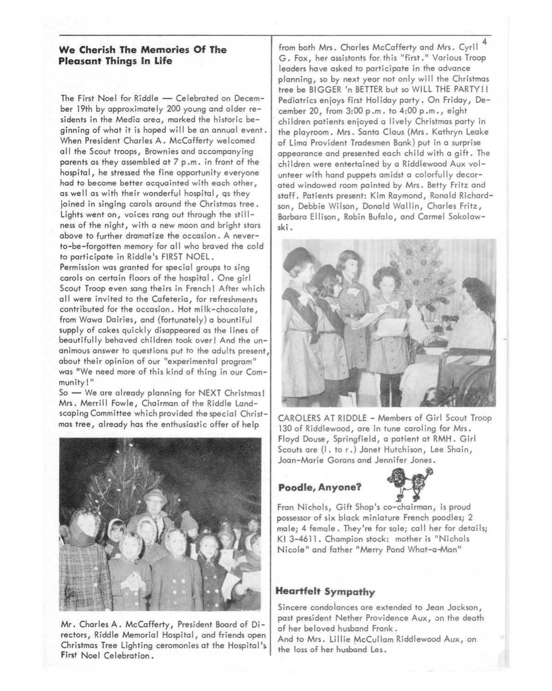# **We Cherish The Memories Of The Pleasant Things In Life**

The First Noel for Riddle - Celebrated on December 19th by approximately 200 young and older residents in the Media area, marked the historic beginning of what it is hoped will be an annual event. When President Charles A. McCafferty welcomed all the Scout troops, Brownies and accompanying parents as they assembled at 7 p .m. in front of the hospital, he stressed the fine opportunity everyone had to become better acquainted with each other, as well as with their wonderful hospital, qs they joined in singing carols around the Christmas tree. Lights went on, voices rang out through the stillness of the night, with a new moon and bright stars above to further dramatize the occasion. A neverto-be-forgotten memory for all who braved the cold to participate in Riddle's FIRST NOEL. Permission was granted for special groups to sing carols on certain floors of the hospital. One girl Scout Troop even sang theirs in French! After which all were invited to the Cafeteria, for refreshments contributed for the occasion. Hot milk-chocolate, from Wawa Dairies, and (fortunately) a bountiful supply of cakes quickly disappeared as the lines of beautifully behaved children took over! And the unanimous answer to questions put to the adults present, about their opinion of our "experimental program" was "We need more of this kind of thing in our Community!"

So - We are already planning for NEXT Christmas! Mrs. Merrill Fowle, Chairman of the Riddle Landscaping Committee which provided the special Christmas tree, already has the enthusiastic offer of help



Mr. Charles A. McCafferty, President Board of Directors, Riddle Memorial Hospital, and friends open Christmas Tree Lighting ceremonies at the Hospital's **First** Noel Celebration.

from both Mrs. Charles McCafferty and Mrs. Cyril G. Fox, her assistants for,this "first." Various Troop leaders have asked to participate in the advance planning, so by next year not only will the Christmas tree be BIGGER 'n BETTER but so WILL THE PARTY!! Pediatrics enjoys first Holiday party. On Friday, December 20, from 3:00 p .m. to 4:00 p .m., eight 'children patients enjoyed a lively Christmas party in the playroom. Mrs. Santa Claus (Mrs. Kathryn Leake of Lima Provident Tradesmen Bank) put in a surprise appearance and presented each child with a gift. The children were entertained by a Riddlewood Aux volunteer with hand puppets amidst a colorfully decorated windowed room painted by Mrs. Betty Fritz and staff. Patients present: Kim Raymond, Ronald Richardson, Debbie Wilson, Donald Wallin, Charles Fritz, Barbara Ellison, Robin Bufalo, and Carmel Sokolow**ski.** 



CAROLERS AT RIDDLE - Members of Girl Scout Troop 130 of Riddlewood, are in tune caroling for Mrs. Floyd Douse, Springfield, a patient at RMH. Girl Scouts are (I. tor.) Janet Hutchison, Lee Shain, Joan-Marie Gorans and Jennifer Jones.

# **Poodle, Anyone?** ,,



Fran Nichols, Gift Shop's co-chairman, is proud possessor of six black miniature French poodles; 2 male; 4 female. They're for sale; call her for details; Kl 3-4611. Champion stock: mother is "Nichols Nicole" and father "Merry Pond What-a-Man"

# **Heartfelt Sympathy**

Sincere condolances are extended to Jean Jackson, past president Nether Providence Aux, on the death of her beloved husband Frank.

And to Mrs. Lillie McCullom Riddlewood Aux, on the loss of her husband Les.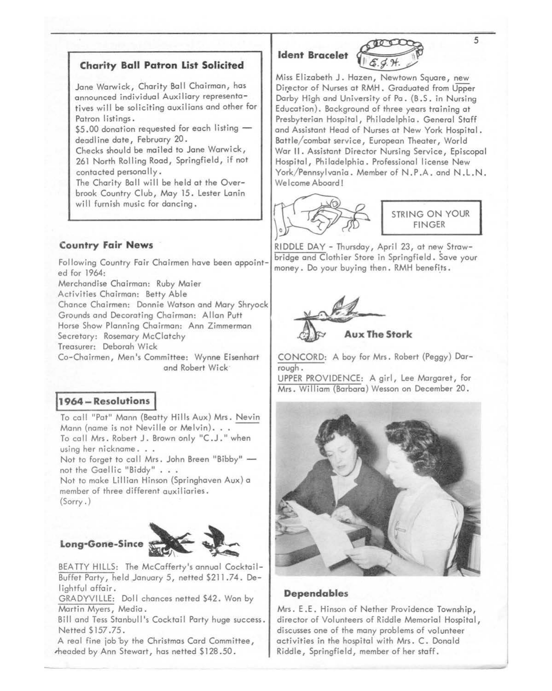## **Charity Ball Patron List Solicited**

Jane Warwick, Charity Ball Chairman, has announced individual Auxiliary representatives will be soliciting auxilians and other for Patron listings.

 $$5.00$  donation requested for each listing  $$ deadline date, February 20.

Checks should be mailed to Jane Warwick, 261 North Rolling Road, Springfield, if not contacted personally.

The Charity Ball will be held at the Overbrook Country Club, May 15. Lester Lanin will furnish music for dancing.

# **Country Fair News**

Following Country Fair Chairmen have been appointed for 1964:

Merchandise Chairman: Ruby Maier

Activities Chairman: Betty Able

Chance Chairmen: Donnie Watson and Mary Shryock

Grounds and Decorating Chairman: Allan Putt Horse Show Planning Chairman: Ann Zimmerman

Secretary: Rosemary McClatchy

Treasurer: Deborah Wick

Co-Chairmen, Men's Committee: Wynne Eisenhart and Robert Wick·

## **11964 - Resolutions** I

To call "Pat" Mann (Beatty Hills Aux) Mrs. Nevin Mann (name is not Neville or Melvin). . . To call Mrs. Robert J. Brown only "C.J." when using her nickname. . . Not to forget to call Mrs. John Breen "Bibby" not the Gaellic "Biddy" . . . Not to make Lillian Hinson (Springhaven Aux) a

member of three different auxiliaries. (Sorry.)



BEA TTY HILLS: The McCafferty's annual Cocktail-Buffet Party, held January 5, netted \$211.74. Delightful affair.

GRADYVILLE: Doll chances netted \$42. Won by Martin Myers, Media.

Bill and Tess Stanbull's Cocktail Party huge success. Netted \$157.75.

A real fine job by the Christmas Card Committee, ,headed by Ann Stewart, has netted \$128 .50.



Miss Elizabeth J. Hazen, Newtown Square, new Director of Nurses at RMH. Graduated from Upper Darby High and University of Pa. (B .S. in Nursing Education). Background of three years training at Presbyterian Hospital, Philadelphia. General Staff and Assistant Head of Nurses at New York Hospital. Battle/ combat service, European Theater, World War II. Assistant Director Nursing Service, Episcopal Hospital, Philadelphia. Professional license New York/Pennsylvania. Member of N.P.A. and N.L.N. Welcome Aboard!



STRING ON YOUR FINGER

RIDDLE DAY - Thursday, April 23, at new Strawbridge and Clothier Store in Springfield. Save your money. Do your buying then. RMH benefits.



CONCORD: A boy for Mrs. Robert (Peggy) Darrough.

UPPER PROVIDENCE: A girl, Lee Margaret, for Mrs. William (Barbara) Wesson on December 20.



#### **Dependables**

Mrs. E .E. Hinson of Nether Providence Township, director of Volunteers of Riddle Memorial Hospital, discusses one of the many problems of volunteer activities in the hospital with Mrs. C. Donald Riddle, Springfield, member of her staff.